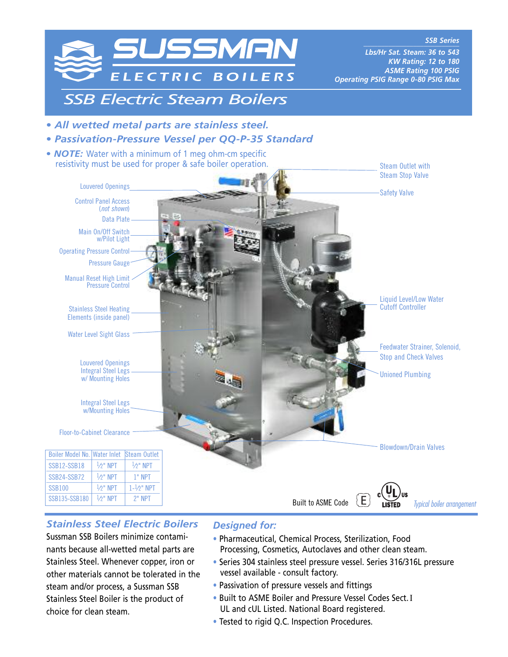

# *Stainless Steel Electric Boilers*

Sussman SSB Boilers minimize contaminants because all-wetted metal parts are Stainless Steel. Whenever copper, iron or other materials cannot be tolerated in the steam and/or process, a Sussman SSB Stainless Steel Boiler is the product of choice for clean steam.

# *Designed for:*

- Pharmaceutical, Chemical Process, Sterilization, Food Processing, Cosmetics, Autoclaves and other clean steam.
- Series 304 stainless steel pressure vessel. Series 316/316L pressure vessel available - consult factory.
- Passivation of pressure vessels and fittings
- Built to ASME Boiler and Pressure Vessel Codes Sect.I UL and cUL Listed. National Board registered.
- Tested to rigid Q.C. Inspection Procedures.